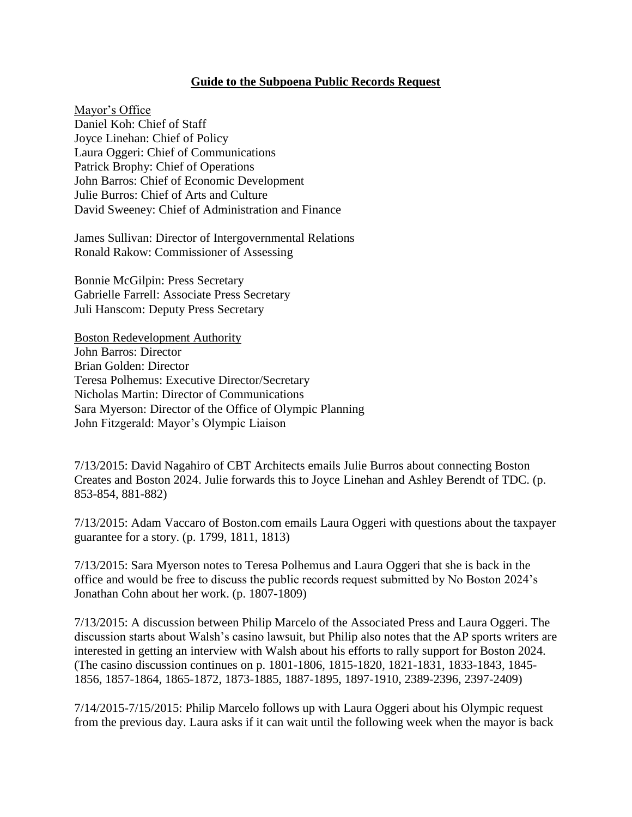## **Guide to the Subpoena Public Records Request**

Mayor's Office Daniel Koh: Chief of Staff Joyce Linehan: Chief of Policy Laura Oggeri: Chief of Communications Patrick Brophy: Chief of Operations John Barros: Chief of Economic Development Julie Burros: Chief of Arts and Culture David Sweeney: Chief of Administration and Finance

James Sullivan: Director of Intergovernmental Relations Ronald Rakow: Commissioner of Assessing

Bonnie McGilpin: Press Secretary Gabrielle Farrell: Associate Press Secretary Juli Hanscom: Deputy Press Secretary

Boston Redevelopment Authority John Barros: Director Brian Golden: Director Teresa Polhemus: Executive Director/Secretary Nicholas Martin: Director of Communications Sara Myerson: Director of the Office of Olympic Planning John Fitzgerald: Mayor's Olympic Liaison

7/13/2015: David Nagahiro of CBT Architects emails Julie Burros about connecting Boston Creates and Boston 2024. Julie forwards this to Joyce Linehan and Ashley Berendt of TDC. (p. 853-854, 881-882)

7/13/2015: Adam Vaccaro of Boston.com emails Laura Oggeri with questions about the taxpayer guarantee for a story. (p. 1799, 1811, 1813)

7/13/2015: Sara Myerson notes to Teresa Polhemus and Laura Oggeri that she is back in the office and would be free to discuss the public records request submitted by No Boston 2024's Jonathan Cohn about her work. (p. 1807-1809)

7/13/2015: A discussion between Philip Marcelo of the Associated Press and Laura Oggeri. The discussion starts about Walsh's casino lawsuit, but Philip also notes that the AP sports writers are interested in getting an interview with Walsh about his efforts to rally support for Boston 2024. (The casino discussion continues on p. 1801-1806, 1815-1820, 1821-1831, 1833-1843, 1845- 1856, 1857-1864, 1865-1872, 1873-1885, 1887-1895, 1897-1910, 2389-2396, 2397-2409)

7/14/2015-7/15/2015: Philip Marcelo follows up with Laura Oggeri about his Olympic request from the previous day. Laura asks if it can wait until the following week when the mayor is back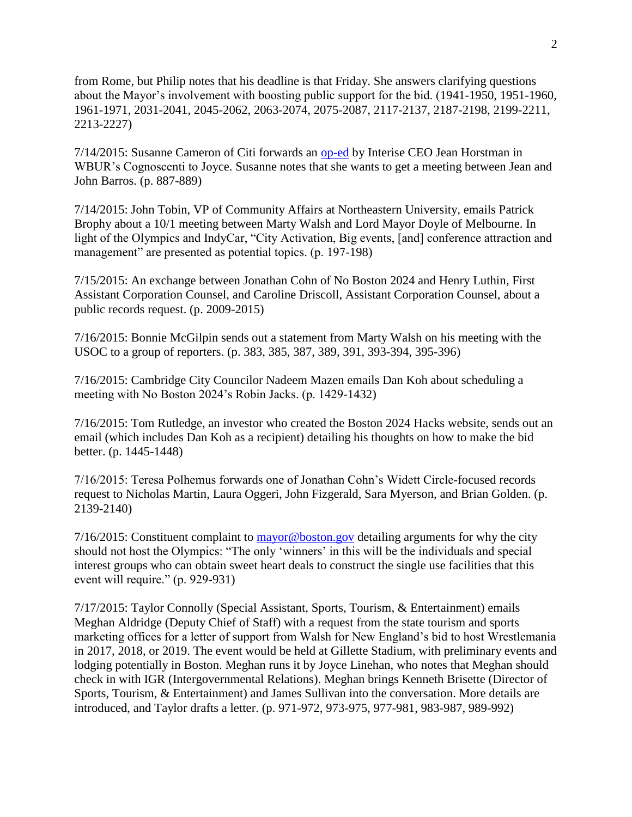from Rome, but Philip notes that his deadline is that Friday. She answers clarifying questions about the Mayor's involvement with boosting public support for the bid. (1941-1950, 1951-1960, 1961-1971, 2031-2041, 2045-2062, 2063-2074, 2075-2087, 2117-2137, 2187-2198, 2199-2211, 2213-2227)

7/14/2015: Susanne Cameron of Citi forwards an [op-ed](http://cognoscenti.wbur.org/2015/07/13/boston-2024-olympics-small-business-jean-horstman) by Interise CEO Jean Horstman in WBUR's Cognoscenti to Joyce. Susanne notes that she wants to get a meeting between Jean and John Barros. (p. 887-889)

7/14/2015: John Tobin, VP of Community Affairs at Northeastern University, emails Patrick Brophy about a 10/1 meeting between Marty Walsh and Lord Mayor Doyle of Melbourne. In light of the Olympics and IndyCar, "City Activation, Big events, [and] conference attraction and management" are presented as potential topics. (p. 197-198)

7/15/2015: An exchange between Jonathan Cohn of No Boston 2024 and Henry Luthin, First Assistant Corporation Counsel, and Caroline Driscoll, Assistant Corporation Counsel, about a public records request. (p. 2009-2015)

7/16/2015: Bonnie McGilpin sends out a statement from Marty Walsh on his meeting with the USOC to a group of reporters. (p. 383, 385, 387, 389, 391, 393-394, 395-396)

7/16/2015: Cambridge City Councilor Nadeem Mazen emails Dan Koh about scheduling a meeting with No Boston 2024's Robin Jacks. (p. 1429-1432)

7/16/2015: Tom Rutledge, an investor who created the Boston 2024 Hacks website, sends out an email (which includes Dan Koh as a recipient) detailing his thoughts on how to make the bid better. (p. 1445-1448)

7/16/2015: Teresa Polhemus forwards one of Jonathan Cohn's Widett Circle-focused records request to Nicholas Martin, Laura Oggeri, John Fizgerald, Sara Myerson, and Brian Golden. (p. 2139-2140)

 $7/16/2015$ : Constituent complaint to [mayor@boston.gov](mailto:mayor@boston.gov) detailing arguments for why the city should not host the Olympics: "The only 'winners' in this will be the individuals and special interest groups who can obtain sweet heart deals to construct the single use facilities that this event will require." (p. 929-931)

7/17/2015: Taylor Connolly (Special Assistant, Sports, Tourism, & Entertainment) emails Meghan Aldridge (Deputy Chief of Staff) with a request from the state tourism and sports marketing offices for a letter of support from Walsh for New England's bid to host Wrestlemania in 2017, 2018, or 2019. The event would be held at Gillette Stadium, with preliminary events and lodging potentially in Boston. Meghan runs it by Joyce Linehan, who notes that Meghan should check in with IGR (Intergovernmental Relations). Meghan brings Kenneth Brisette (Director of Sports, Tourism, & Entertainment) and James Sullivan into the conversation. More details are introduced, and Taylor drafts a letter. (p. 971-972, 973-975, 977-981, 983-987, 989-992)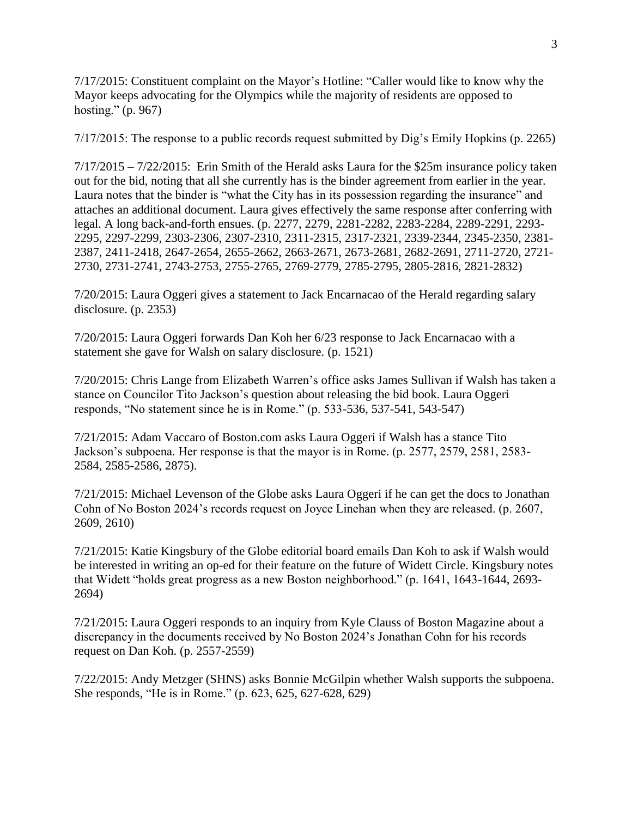7/17/2015: Constituent complaint on the Mayor's Hotline: "Caller would like to know why the Mayor keeps advocating for the Olympics while the majority of residents are opposed to hosting." (p. 967)

7/17/2015: The response to a public records request submitted by Dig's Emily Hopkins (p. 2265)

 $7/17/2015 - 7/22/2015$ : Erin Smith of the Herald asks Laura for the \$25m insurance policy taken out for the bid, noting that all she currently has is the binder agreement from earlier in the year. Laura notes that the binder is "what the City has in its possession regarding the insurance" and attaches an additional document. Laura gives effectively the same response after conferring with legal. A long back-and-forth ensues. (p. 2277, 2279, 2281-2282, 2283-2284, 2289-2291, 2293- 2295, 2297-2299, 2303-2306, 2307-2310, 2311-2315, 2317-2321, 2339-2344, 2345-2350, 2381- 2387, 2411-2418, 2647-2654, 2655-2662, 2663-2671, 2673-2681, 2682-2691, 2711-2720, 2721- 2730, 2731-2741, 2743-2753, 2755-2765, 2769-2779, 2785-2795, 2805-2816, 2821-2832)

7/20/2015: Laura Oggeri gives a statement to Jack Encarnacao of the Herald regarding salary disclosure. (p. 2353)

7/20/2015: Laura Oggeri forwards Dan Koh her 6/23 response to Jack Encarnacao with a statement she gave for Walsh on salary disclosure. (p. 1521)

7/20/2015: Chris Lange from Elizabeth Warren's office asks James Sullivan if Walsh has taken a stance on Councilor Tito Jackson's question about releasing the bid book. Laura Oggeri responds, "No statement since he is in Rome." (p. 533-536, 537-541, 543-547)

7/21/2015: Adam Vaccaro of Boston.com asks Laura Oggeri if Walsh has a stance Tito Jackson's subpoena. Her response is that the mayor is in Rome. (p. 2577, 2579, 2581, 2583- 2584, 2585-2586, 2875).

7/21/2015: Michael Levenson of the Globe asks Laura Oggeri if he can get the docs to Jonathan Cohn of No Boston 2024's records request on Joyce Linehan when they are released. (p. 2607, 2609, 2610)

7/21/2015: Katie Kingsbury of the Globe editorial board emails Dan Koh to ask if Walsh would be interested in writing an op-ed for their feature on the future of Widett Circle. Kingsbury notes that Widett "holds great progress as a new Boston neighborhood." (p. 1641, 1643-1644, 2693- 2694)

7/21/2015: Laura Oggeri responds to an inquiry from Kyle Clauss of Boston Magazine about a discrepancy in the documents received by No Boston 2024's Jonathan Cohn for his records request on Dan Koh. (p. 2557-2559)

7/22/2015: Andy Metzger (SHNS) asks Bonnie McGilpin whether Walsh supports the subpoena. She responds, "He is in Rome." (p. 623, 625, 627-628, 629)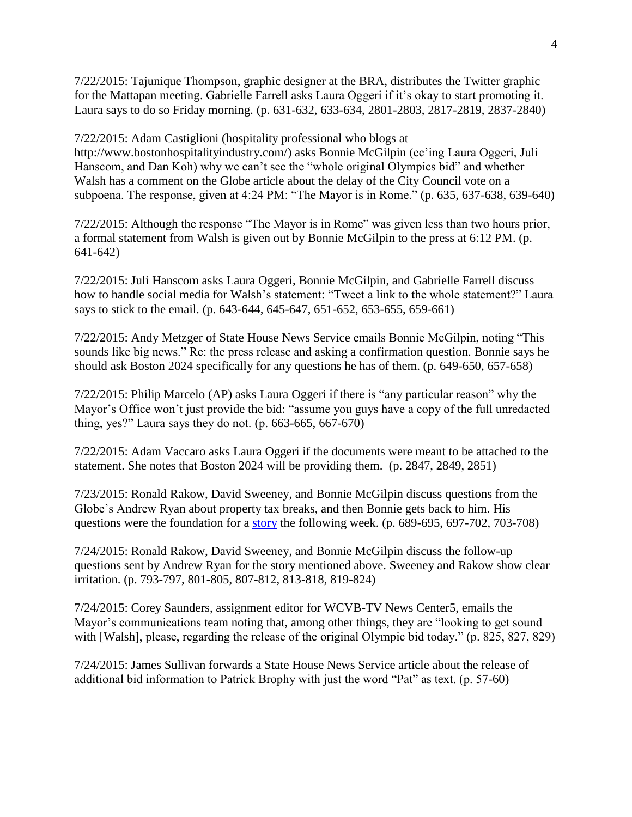7/22/2015: Tajunique Thompson, graphic designer at the BRA, distributes the Twitter graphic for the Mattapan meeting. Gabrielle Farrell asks Laura Oggeri if it's okay to start promoting it. Laura says to do so Friday morning. (p. 631-632, 633-634, 2801-2803, 2817-2819, 2837-2840)

7/22/2015: Adam Castiglioni (hospitality professional who blogs at http://www.bostonhospitalityindustry.com/) asks Bonnie McGilpin (cc'ing Laura Oggeri, Juli Hanscom, and Dan Koh) why we can't see the "whole original Olympics bid" and whether Walsh has a comment on the Globe article about the delay of the City Council vote on a subpoena. The response, given at 4:24 PM: "The Mayor is in Rome." (p. 635, 637-638, 639-640)

7/22/2015: Although the response "The Mayor is in Rome" was given less than two hours prior, a formal statement from Walsh is given out by Bonnie McGilpin to the press at 6:12 PM. (p. 641-642)

7/22/2015: Juli Hanscom asks Laura Oggeri, Bonnie McGilpin, and Gabrielle Farrell discuss how to handle social media for Walsh's statement: "Tweet a link to the whole statement?" Laura says to stick to the email. (p. 643-644, 645-647, 651-652, 653-655, 659-661)

7/22/2015: Andy Metzger of State House News Service emails Bonnie McGilpin, noting "This sounds like big news." Re: the press release and asking a confirmation question. Bonnie says he should ask Boston 2024 specifically for any questions he has of them. (p. 649-650, 657-658)

7/22/2015: Philip Marcelo (AP) asks Laura Oggeri if there is "any particular reason" why the Mayor's Office won't just provide the bid: "assume you guys have a copy of the full unredacted thing, yes?" Laura says they do not. (p. 663-665, 667-670)

7/22/2015: Adam Vaccaro asks Laura Oggeri if the documents were meant to be attached to the statement. She notes that Boston 2024 will be providing them. (p. 2847, 2849, 2851)

7/23/2015: Ronald Rakow, David Sweeney, and Bonnie McGilpin discuss questions from the Globe's Andrew Ryan about property tax breaks, and then Bonnie gets back to him. His questions were the foundation for a [story](https://www.bostonglobe.com/metro/2015/08/01/boston-doesn-keep-track-dozens-property-tax-breaks-its-books/TZ3yKx7AYe31HQ67k2phxO/story.html) the following week. (p. 689-695, 697-702, 703-708)

7/24/2015: Ronald Rakow, David Sweeney, and Bonnie McGilpin discuss the follow-up questions sent by Andrew Ryan for the story mentioned above. Sweeney and Rakow show clear irritation. (p. 793-797, 801-805, 807-812, 813-818, 819-824)

7/24/2015: Corey Saunders, assignment editor for WCVB-TV News Center5, emails the Mayor's communications team noting that, among other things, they are "looking to get sound with [Walsh], please, regarding the release of the original Olympic bid today." (p. 825, 827, 829)

7/24/2015: James Sullivan forwards a State House News Service article about the release of additional bid information to Patrick Brophy with just the word "Pat" as text. (p. 57-60)